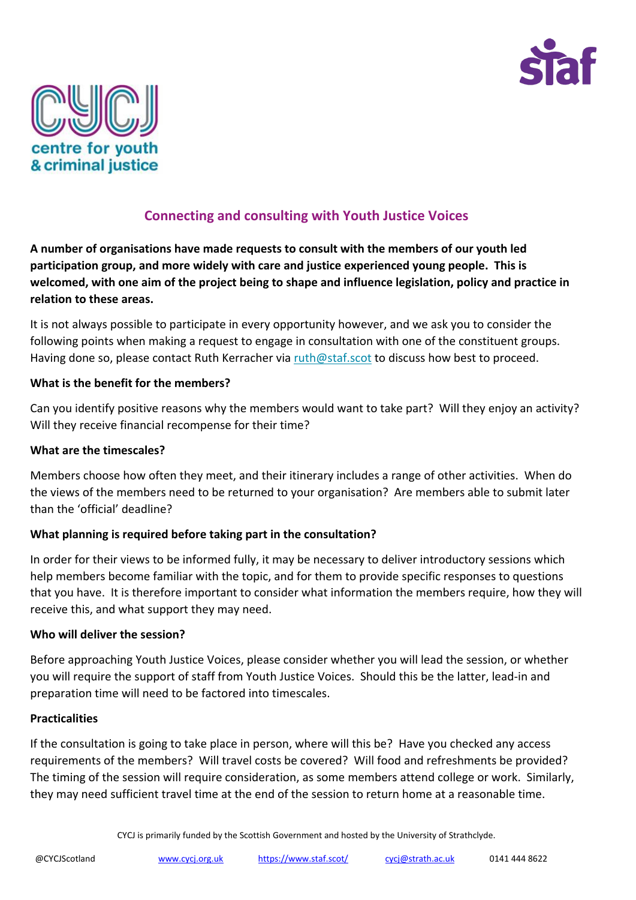



# **Connecting and consulting with Youth Justice Voices**

**A number of organisations have made requests to consult with the members of our youth led participation group, and more widely with care and justice experienced young people. This is welcomed, with one aim of the project being to shape and influence legislation, policy and practice in relation to these areas.**

It is not always possible to participate in every opportunity however, and we ask you to consider the following points when making a request to engage in consultation with one of the constituent groups. Having done so, please contact Ruth Kerracher via [ruth@staf.scot](mailto:ruth@staf.scot) to discuss how best to proceed.

## **What is the benefit for the members?**

Can you identify positive reasons why the members would want to take part? Will they enjoy an activity? Will they receive financial recompense for their time?

### **What are the timescales?**

Members choose how often they meet, and their itinerary includes a range of other activities. When do the views of the members need to be returned to your organisation? Are members able to submit later than the 'official' deadline?

## **What planning is required before taking part in the consultation?**

In order for their views to be informed fully, it may be necessary to deliver introductory sessions which help members become familiar with the topic, and for them to provide specific responses to questions that you have. It is therefore important to consider what information the members require, how they will receive this, and what support they may need.

#### **Who will deliver the session?**

Before approaching Youth Justice Voices, please consider whether you will lead the session, or whether you will require the support of staff from Youth Justice Voices. Should this be the latter, lead-in and preparation time will need to be factored into timescales.

#### **Practicalities**

If the consultation is going to take place in person, where will this be? Have you checked any access requirements of the members? Will travel costs be covered? Will food and refreshments be provided? The timing of the session will require consideration, as some members attend college or work. Similarly, they may need sufficient travel time at the end of the session to return home at a reasonable time.

CYCJ is primarily funded by the Scottish Government and hosted by the University of Strathclyde.